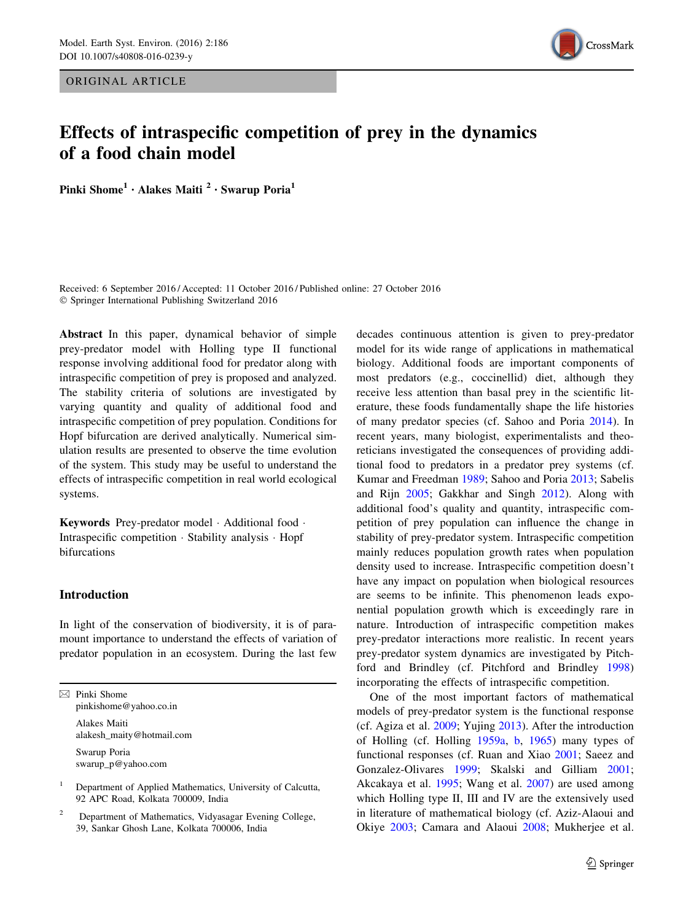ORIGINAL ARTICLE



# Effects of intraspecific competition of prey in the dynamics of a food chain model

Pinki Shome<sup>1</sup> · Alakes Maiti <sup>2</sup> · Swarup Poria<sup>1</sup>

Received: 6 September 2016 / Accepted: 11 October 2016 / Published online: 27 October 2016  $©$  Springer International Publishing Switzerland 2016

Abstract In this paper, dynamical behavior of simple prey-predator model with Holling type II functional response involving additional food for predator along with intraspecific competition of prey is proposed and analyzed. The stability criteria of solutions are investigated by varying quantity and quality of additional food and intraspecific competition of prey population. Conditions for Hopf bifurcation are derived analytically. Numerical simulation results are presented to observe the time evolution of the system. This study may be useful to understand the effects of intraspecific competition in real world ecological systems.

Keywords Prey-predator model · Additional food · Intraspecific competition - Stability analysis - Hopf bifurcations

## Introduction

In light of the conservation of biodiversity, it is of paramount importance to understand the effects of variation of predator population in an ecosystem. During the last few

 $\boxtimes$  Pinki Shome pinkishome@yahoo.co.in

> Alakes Maiti alakesh\_maity@hotmail.com Swarup Poria swarup\_p@yahoo.com

<sup>1</sup> Department of Applied Mathematics, University of Calcutta, 92 APC Road, Kolkata 700009, India

<sup>2</sup> Department of Mathematics, Vidyasagar Evening College, 39, Sankar Ghosh Lane, Kolkata 700006, India

decades continuous attention is given to prey-predator model for its wide range of applications in mathematical biology. Additional foods are important components of most predators (e.g., coccinellid) diet, although they receive less attention than basal prey in the scientific literature, these foods fundamentally shape the life histories of many predator species (cf. Sahoo and Poria [2014\)](#page-10-0). In recent years, many biologist, experimentalists and theoreticians investigated the consequences of providing additional food to predators in a predator prey systems (cf. Kumar and Freedman [1989](#page-10-0); Sahoo and Poria [2013;](#page-10-0) Sabelis and Rijn [2005;](#page-10-0) Gakkhar and Singh [2012\)](#page-10-0). Along with additional food's quality and quantity, intraspecific competition of prey population can influence the change in stability of prey-predator system. Intraspecific competition mainly reduces population growth rates when population density used to increase. Intraspecific competition doesn't have any impact on population when biological resources are seems to be infinite. This phenomenon leads exponential population growth which is exceedingly rare in nature. Introduction of intraspecific competition makes prey-predator interactions more realistic. In recent years prey-predator system dynamics are investigated by Pitchford and Brindley (cf. Pitchford and Brindley [1998\)](#page-10-0) incorporating the effects of intraspecific competition.

One of the most important factors of mathematical models of prey-predator system is the functional response (cf. Agiza et al. [2009](#page-10-0); Yujing [2013\)](#page-10-0). After the introduction of Holling (cf. Holling [1959a,](#page-10-0) [b,](#page-10-0) [1965](#page-10-0)) many types of functional responses (cf. Ruan and Xiao [2001](#page-10-0); Saeez and Gonzalez-Olivares [1999;](#page-10-0) Skalski and Gilliam [2001](#page-10-0); Akcakaya et al. [1995;](#page-10-0) Wang et al. [2007](#page-10-0)) are used among which Holling type II, III and IV are the extensively used in literature of mathematical biology (cf. Aziz-Alaoui and Okiye [2003](#page-10-0); Camara and Alaoui [2008;](#page-10-0) Mukherjee et al.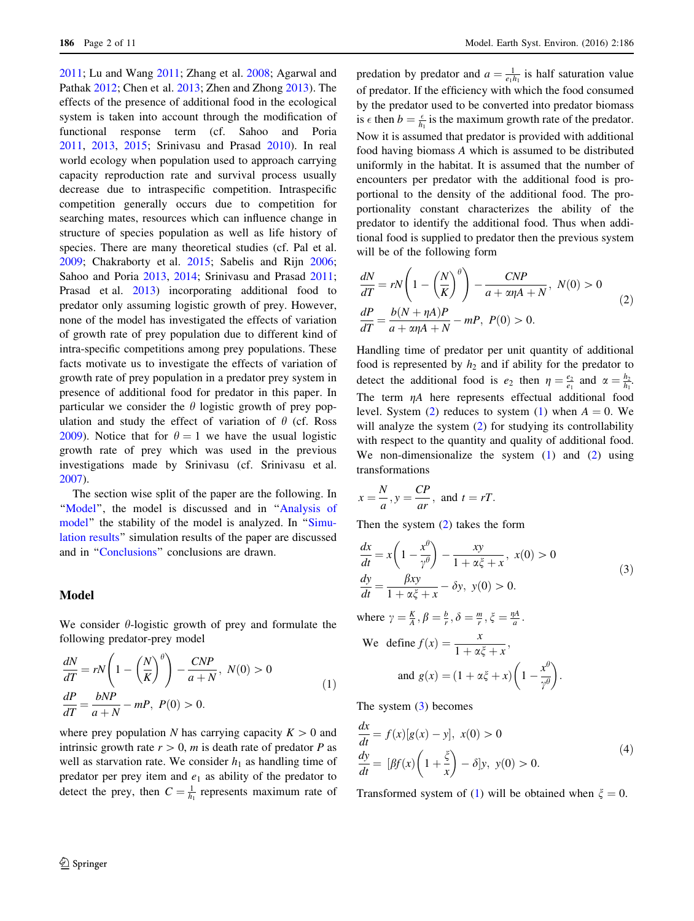<span id="page-1-0"></span>[2011;](#page-10-0) Lu and Wang [2011;](#page-10-0) Zhang et al. [2008;](#page-10-0) Agarwal and Pathak [2012;](#page-10-0) Chen et al. [2013;](#page-10-0) Zhen and Zhong [2013](#page-10-0)). The effects of the presence of additional food in the ecological system is taken into account through the modification of functional response term (cf. Sahoo and Poria [2011,](#page-10-0) [2013,](#page-10-0) [2015;](#page-10-0) Srinivasu and Prasad [2010](#page-10-0)). In real world ecology when population used to approach carrying capacity reproduction rate and survival process usually decrease due to intraspecific competition. Intraspecific competition generally occurs due to competition for searching mates, resources which can influence change in structure of species population as well as life history of species. There are many theoretical studies (cf. Pal et al. [2009;](#page-10-0) Chakraborty et al. [2015;](#page-10-0) Sabelis and Rijn [2006](#page-10-0); Sahoo and Poria [2013](#page-10-0), [2014](#page-10-0); Srinivasu and Prasad [2011](#page-10-0); Prasad et al. [2013\)](#page-10-0) incorporating additional food to predator only assuming logistic growth of prey. However, none of the model has investigated the effects of variation of growth rate of prey population due to different kind of intra-specific competitions among prey populations. These facts motivate us to investigate the effects of variation of growth rate of prey population in a predator prey system in presence of additional food for predator in this paper. In particular we consider the  $\theta$  logistic growth of prey population and study the effect of variation of  $\theta$  (cf. Ross [2009\)](#page-10-0). Notice that for  $\theta = 1$  we have the usual logistic growth rate of prey which was used in the previous investigations made by Srinivasu (cf. Srinivasu et al. [2007\)](#page-10-0).

The section wise split of the paper are the following. In "Model", the model is discussed and in "Analysis of [model](#page-2-0)" the stability of the model is analyzed. In "[Simu](#page-5-0)[lation results'](#page-5-0)' simulation results of the paper are discussed and in '['Conclusions'](#page-9-0)' conclusions are drawn.

#### Model

We consider  $\theta$ -logistic growth of prey and formulate the following predator-prey model

$$
\frac{dN}{dT} = rN\left(1 - \left(\frac{N}{K}\right)^{\theta}\right) - \frac{CNP}{a+N}, N(0) > 0
$$
\n
$$
\frac{dP}{dT} = \frac{bNP}{a+N} - mP, P(0) > 0.
$$
\n(1)

where prey population N has carrying capacity  $K > 0$  and intrinsic growth rate  $r > 0$ , m is death rate of predator P as well as starvation rate. We consider  $h_1$  as handling time of predator per prey item and  $e_1$  as ability of the predator to detect the prey, then  $C = \frac{1}{h_1}$  represents maximum rate of

predation by predator and  $a = \frac{1}{e_1 h_1}$  is half saturation value of predator. If the efficiency with which the food consumed by the predator used to be converted into predator biomass is  $\epsilon$  then  $b = \frac{\epsilon}{h_1}$  is the maximum growth rate of the predator. Now it is assumed that predator is provided with additional food having biomass A which is assumed to be distributed uniformly in the habitat. It is assumed that the number of encounters per predator with the additional food is proportional to the density of the additional food. The proportionality constant characterizes the ability of the predator to identify the additional food. Thus when additional food is supplied to predator then the previous system will be of the following form

$$
\frac{dN}{dT} = rN\left(1 - \left(\frac{N}{K}\right)^{\theta}\right) - \frac{CNP}{a + \alpha\eta A + N}, N(0) > 0
$$
\n
$$
\frac{dP}{dT} = \frac{b(N + \eta A)P}{a + \alpha\eta A + N} - mP, P(0) > 0.
$$
\n(2)

Handling time of predator per unit quantity of additional food is represented by  $h_2$  and if ability for the predator to detect the additional food is  $e_2$  then  $\eta = \frac{e_2}{e_1}$  and  $\alpha = \frac{h_2}{h_1}$ . The term  $\eta A$  here represents effectual additional food level. System (2) reduces to system (1) when  $A = 0$ . We will analyze the system (2) for studying its controllability with respect to the quantity and quality of additional food. We non-dimensionalize the system (1) and (2) using transformations

$$
x = \frac{N}{a}, y = \frac{CP}{ar}, \text{ and } t = rT.
$$

Then the system (2) takes the form

$$
\frac{dx}{dt} = x \left( 1 - \frac{x^{\theta}}{\gamma^{\theta}} \right) - \frac{xy}{1 + \alpha \xi + x}, \ x(0) > 0
$$
\n
$$
\frac{dy}{dt} = \frac{\beta xy}{1 + \alpha \xi + x} - \delta y, \ y(0) > 0.
$$
\nwhere  $\gamma = \frac{K}{A}, \beta = \frac{b}{r}, \delta = \frac{m}{r}, \xi = \frac{nA}{a}.$ 

We define 
$$
f(x) = \frac{x}{1 + \alpha \xi + x}
$$
,  
and  $g(x) = (1 + \alpha \xi + x) \left(1 - \frac{x^{\theta}}{\gamma^{\theta}}\right)$ .

The system (3) becomes

$$
\frac{dx}{dt} = f(x)[g(x) - y], \ x(0) > 0
$$
\n
$$
\frac{dy}{dt} = [Bf(x)\left(1 + \frac{\xi}{x}\right) - \delta]y, \ y(0) > 0.
$$
\n(4)

Transformed system of (1) will be obtained when  $\xi = 0$ .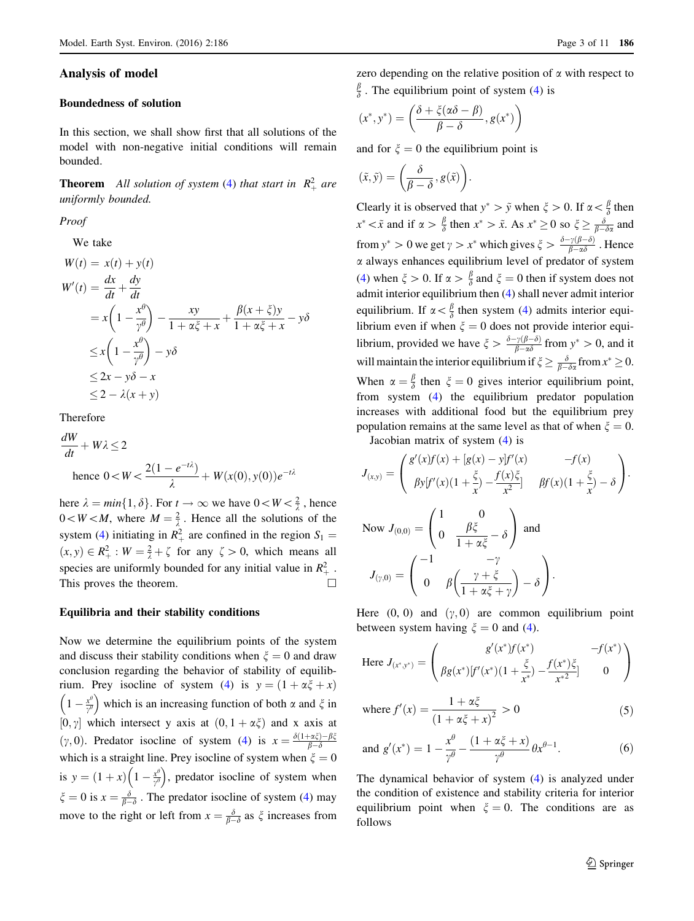### <span id="page-2-0"></span>Analysis of model

#### Boundedness of solution

In this section, we shall show first that all solutions of the model with non-negative initial conditions will remain bounded.

**Theorem** All solution of system ([4\)](#page-1-0) that start in  $R_+^2$  are uniformly bounded.

Proof

We take

$$
W(t) = x(t) + y(t)
$$
  
\n
$$
W'(t) = \frac{dx}{dt} + \frac{dy}{dt}
$$
  
\n
$$
= x\left(1 - \frac{x^{\theta}}{y^{\theta}}\right) - \frac{xy}{1 + \alpha \xi + x} + \frac{\beta(x + \xi)y}{1 + \alpha \xi + x} - y\delta
$$
  
\n
$$
\leq x\left(1 - \frac{x^{\theta}}{y^{\theta}}\right) - y\delta
$$
  
\n
$$
\leq 2x - y\delta - x
$$
  
\n
$$
\leq 2 - \lambda(x + y)
$$

Therefore

dW  $\frac{\partial W}{\partial t} + W\lambda \leq 2$ hence  $0 < W < \frac{2(1 - e^{-t\lambda})}{2}$  $\frac{e^{-\epsilon}}{\lambda}$  +  $W(x(0), y(0))e^{-t\lambda}$ 

here  $\lambda = min\{1, \delta\}$ . For  $t \to \infty$  we have  $0 \lt W \lt \frac{2}{\lambda}$ , hence  $0 < W < M$ , where  $M = \frac{2}{\lambda}$ . Hence all the solutions of the system [\(4](#page-1-0)) initiating in  $R_+^2$  are confined in the region  $S_1 =$  $(x, y) \in R_+^2 : W = \frac{2}{\lambda} + \zeta$  for any  $\zeta > 0$ , which means all species are uniformly bounded for any initial value in  $R_+^2$ . This proves the theorem.  $\Box$ 

#### Equilibria and their stability conditions

Now we determine the equilibrium points of the system and discuss their stability conditions when  $\xi = 0$  and draw conclusion regarding the behavior of stability of equilib-rium. Prey isocline of system ([4\)](#page-1-0) is  $y = (1 + \alpha \xi + x)$  $1-\frac{x^{\theta}}{y^{\theta}}$  $\left(1 - \frac{x^{\theta}}{\gamma^{\theta}}\right)$  which is an increasing function of both  $\alpha$  and  $\zeta$  in [0,  $\gamma$ ] which intersect y axis at  $(0, 1 + \alpha \xi)$  and x axis at (y, 0). Predator isocline of system ([4\)](#page-1-0) is  $x = \frac{\delta(1 + \alpha\xi) - \beta\xi}{\beta - \delta}$  $_{\beta-\delta}$ which is a straight line. Prey isocline of system when  $\xi = 0$ is  $y = (1 + x) \left( 1 - \frac{x^{\theta}}{y^{\theta}} \right)$  $\left(1-\frac{x^{\theta}}{\gamma^{\theta}}\right)$ , predator isocline of system when  $\zeta = 0$  is  $x = \frac{\delta}{\beta - \delta}$ . The predator isocline of system ([4\)](#page-1-0) may move to the right or left from  $x = \frac{\delta}{\beta - \delta}$  as  $\xi$  increases from

zero depending on the relative position of  $\alpha$  with respect to  $\frac{\beta}{\delta}$ . The equilibrium point of system [\(4](#page-1-0)) is

$$
(x^*, y^*) = \left(\frac{\delta + \xi(\alpha\delta - \beta)}{\beta - \delta}, g(x^*)\right)
$$

and for  $\xi = 0$  the equilibrium point is

$$
(\tilde{x},\tilde{y})=\bigg(\!\frac{\delta}{\beta-\delta},g(\tilde{x})\!\bigg).
$$

Clearly it is observed that  $y^* > \tilde{y}$  when  $\xi > 0$ . If  $\alpha < \frac{\beta}{\delta}$  then  $x^* < \tilde{x}$  and if  $\alpha > \frac{\beta}{\delta}$  then  $x^* > \tilde{x}$ . As  $x^* \ge 0$  so  $\xi \ge \frac{\delta}{\beta - \delta \alpha}$  and from  $y^* > 0$  we get  $\gamma > x^*$  which gives  $\xi > \frac{\delta - \gamma(\beta - \delta)}{\beta - \alpha \delta}$ . Hence  $\alpha$  always enhances equilibrium level of predator of system [\(4](#page-1-0)) when  $\xi > 0$ . If  $\alpha > \frac{\beta}{\delta}$  and  $\xi = 0$  then if system does not admit interior equilibrium then [\(4](#page-1-0)) shall never admit interior equilibrium. If  $\alpha < \frac{\beta}{\delta}$  then system ([4\)](#page-1-0) admits interior equilibrium even if when  $\xi = 0$  does not provide interior equilibrium, provided we have  $\zeta > \frac{\delta - \gamma(\beta - \delta)}{\beta - \alpha \delta}$  from  $y^* > 0$ , and it will maintain the interior equilibrium if  $\zeta \geq \frac{\delta}{\beta - \delta \alpha}$  from  $x^* \geq 0$ . When  $\alpha = \frac{\beta}{\delta}$  then  $\xi = 0$  gives interior equilibrium point, from system [\(4](#page-1-0)) the equilibrium predator population increases with additional food but the equilibrium prey population remains at the same level as that of when  $\xi = 0$ .

Jacobian matrix of system [\(4](#page-1-0)) is

$$
J_{(x,y)} = \begin{pmatrix} g'(x)f(x) + [g(x) - y]f'(x) & -f(x) \\ \beta y[f'(x)(1 + \frac{\xi}{x}) - \frac{f(x)\xi}{x^2}] & \beta f(x)(1 + \frac{\xi}{x}) - \delta \end{pmatrix}.
$$
  
\nNow  $J_{(0,0)} = \begin{pmatrix} 1 & 0 \\ 0 & \frac{\beta \xi}{1 + \alpha \xi} - \delta \end{pmatrix}$  and  
\n
$$
J_{(\gamma,0)} = \begin{pmatrix} -1 & -\gamma \\ 0 & \beta \left( \frac{\gamma + \xi}{1 + \alpha \xi + \gamma} \right) - \delta \end{pmatrix}.
$$

Here  $(0, 0)$  and  $(\gamma, 0)$  are common equilibrium point between system having  $\xi = 0$  and [\(4](#page-1-0)).

Here 
$$
J_{(x^*,y^*)}
$$
 = 
$$
\begin{pmatrix} g'(x^*)f(x^*) & -f(x^*) \\ \beta g(x^*)[f'(x^*)(1+\frac{\xi}{x^*}) - \frac{f(x^*)\xi}{x^{*2}}] & 0 \end{pmatrix}
$$

where 
$$
f'(x) = \frac{1 + \alpha \xi}{(1 + \alpha \xi + x)^2} > 0
$$
 (5)

and 
$$
g'(x^*) = 1 - \frac{x^{\theta}}{\gamma^{\theta}} - \frac{(1 + \alpha \xi + x)}{\gamma^{\theta}} \theta x^{\theta - 1}.
$$
 (6)

The dynamical behavior of system ([4\)](#page-1-0) is analyzed under the condition of existence and stability criteria for interior equilibrium point when  $\xi = 0$ . The conditions are as follows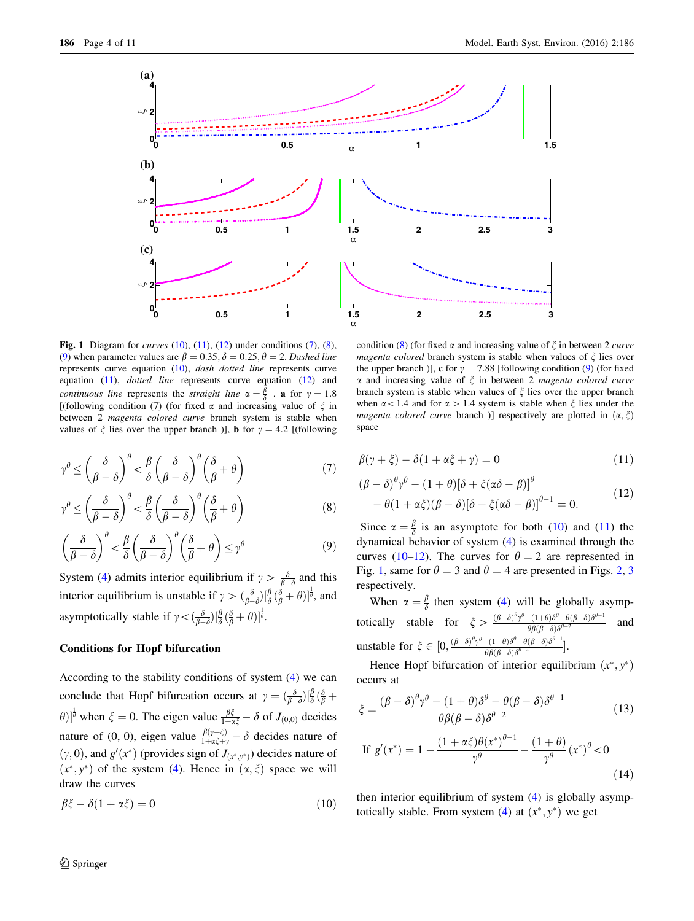<span id="page-3-0"></span>

Fig. 1 Diagram for *curves*  $(10)$ ,  $(11)$ ,  $(12)$  under conditions  $(7)$  $(7)$ ,  $(8)$ , (9) when parameter values are  $\beta = 0.35, \delta = 0.25, \theta = 2$ . Dashed line represents curve equation (10), dash dotted line represents curve equation (11), dotted line represents curve equation (12) and continuous line represents the straight line  $\alpha = \frac{\beta}{\delta}$  a for  $\gamma = 1.8$ [(following condition (7) (for fixed  $\alpha$  and increasing value of  $\xi$  in between 2 magenta colored curve branch system is stable when values of  $\xi$  lies over the upper branch )], **b** for  $\gamma = 4.2$  [(following

$$
\gamma^{\theta} \le \left(\frac{\delta}{\beta - \delta}\right)^{\theta} < \frac{\beta}{\delta} \left(\frac{\delta}{\beta - \delta}\right)^{\theta} \left(\frac{\delta}{\beta} + \theta\right) \tag{7}
$$

$$
\gamma^{\theta} \le \left(\frac{\delta}{\beta - \delta}\right)^{\theta} < \frac{\beta}{\delta} \left(\frac{\delta}{\beta - \delta}\right)^{\theta} \left(\frac{\delta}{\beta} + \theta\right) \tag{8}
$$

$$
\left(\frac{\delta}{\beta-\delta}\right)^{\theta} < \frac{\beta}{\delta} \left(\frac{\delta}{\beta-\delta}\right)^{\theta} \left(\frac{\delta}{\beta}+\theta\right) \leq \gamma^{\theta} \tag{9}
$$

System [\(4](#page-1-0)) admits interior equilibrium if  $\gamma > \frac{\delta}{\beta - \delta}$  and this interior equilibrium is unstable if  $\gamma > (\frac{\delta}{\beta - \delta}) [\frac{\beta}{\delta} (\frac{\delta}{\beta} + \theta)]^{\frac{1}{\theta}}$ , and asymptotically stable if  $\gamma < (\frac{\delta}{\beta - \delta}) [\frac{\beta}{\delta} (\frac{\delta}{\beta} + \theta)]^{\frac{1}{\theta}}$ .

## Conditions for Hopf bifurcation

According to the stability conditions of system ([4\)](#page-1-0) we can conclude that Hopf bifurcation occurs at  $\gamma = (\frac{\delta}{\beta - \delta}) \left[ \frac{\beta}{\delta} \left( \frac{\delta}{\beta} + \frac{\delta}{\delta} \right) \right]$  $(\theta)$ <sup> $\frac{1}{\theta}$ </sup> when  $\xi = 0$ . The eigen value  $\frac{\beta \xi}{1 + \alpha \xi} - \delta$  of  $J_{(0,0)}$  decides nature of (0, 0), eigen value  $\frac{\beta(\gamma+\xi)}{1+\alpha\xi+\gamma} - \delta$  decides nature of  $(\gamma, 0)$ , and  $g'(x^*)$  (provides sign of  $J_{(x^*,y^*)}$ ) decides nature of  $(x^*, y^*)$  of the system [\(4](#page-1-0)). Hence in  $(\alpha, \xi)$  space we will draw the curves

$$
\beta \xi - \delta (1 + \alpha \xi) = 0 \tag{10}
$$

the upper branch )], **c** for 
$$
\gamma = 7.88
$$
 [following condition (9) (for fixed  $\alpha$  and increasing value of  $\xi$  in between 2 *magenta colored curve* branch system is stable when values of  $\xi$  lies over the upper branch when  $\alpha < 1.4$  and for  $\alpha > 1.4$  system is stable when  $\xi$  lies under the *magenta colored curve* branch )] respectively are plotted in  $(\alpha, \xi)$  space

condition (8) (for fixed  $\alpha$  and increasing value of  $\xi$  in between 2 *curve magenta colored* branch system is stable when values of  $\zeta$  lies over

$$
\beta(\gamma + \xi) - \delta(1 + \alpha\xi + \gamma) = 0 \tag{11}
$$

$$
(\beta - \delta)^{\theta} \gamma^{\theta} - (1 + \theta)[\delta + \xi(\alpha \delta - \beta)]^{\theta}
$$
  
- \theta(1 + \alpha \xi)(\beta - \delta)[\delta + \xi(\alpha \delta - \beta)]^{\theta - 1} = 0. (12)

Since  $\alpha = \frac{\beta}{\delta}$  is an asymptote for both (10) and (11) the dynamical behavior of system ([4\)](#page-1-0) is examined through the curves (10–12). The curves for  $\theta = 2$  are represented in Fig. 1, same for  $\theta = 3$  $\theta = 3$  and  $\theta = 4$  are presented in Figs. [2](#page-4-0), 3 respectively.

When  $\alpha = \frac{\beta}{\delta}$  then system [\(4](#page-1-0)) will be globally asymptotically stable for  $\zeta > \frac{(\beta-\delta)^{\theta}\gamma^{\theta}-(1+\theta)\delta^{\theta}-\theta(\beta-\delta)\delta^{\theta-1}}{\theta\beta(\beta-\delta)\delta^{\theta-2}}$  $\frac{\partial(-\mu+\theta)\partial-\theta(\rho-\sigma)\partial}{\partial(\beta-\delta)\delta^{\theta-2}}$  and unstable for  $\xi \in [0, \frac{(\beta-\delta)^{\theta} \gamma^{\theta}-(1+\theta)\delta^{\theta}-\theta(\beta-\delta)\delta^{\theta-1}}{\theta \beta(\beta-\delta)\delta^{\theta-2}}]$  $\frac{- (1+\theta)\delta - \theta(p-\delta)\delta}{\theta\beta(\beta-\delta)\delta^{\theta-2}}\big].$ 

Hence Hopf bifurcation of interior equilibrium  $(x^*, y^*)$ occurs at

$$
\xi = \frac{(\beta - \delta)^{\theta} \gamma^{\theta} - (1 + \theta)\delta^{\theta} - \theta(\beta - \delta)\delta^{\theta - 1}}{\theta \beta (\beta - \delta)\delta^{\theta - 2}}
$$
(13)

If 
$$
g'(x^*) = 1 - \frac{(1 + \alpha \xi)\theta(x^*)^{\theta - 1}}{\gamma^{\theta}} - \frac{(1 + \theta)}{\gamma^{\theta}}(x^*)^{\theta} < 0
$$
 (14)

then interior equilibrium of system ([4\)](#page-1-0) is globally asymp-totically stable. From system [\(4\)](#page-1-0) at  $(x^*, y^*)$  we get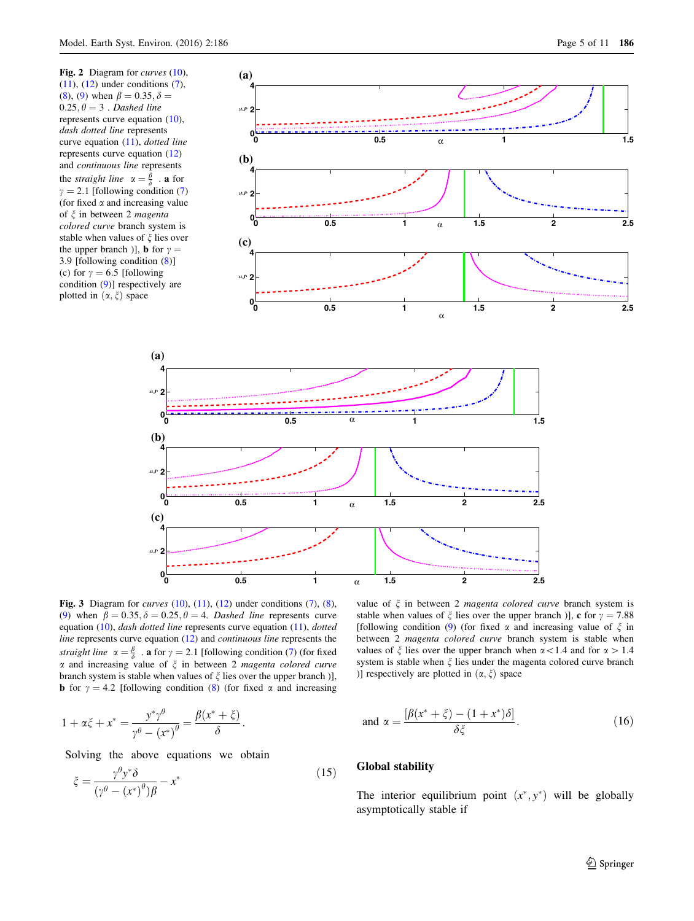<span id="page-4-0"></span>

Fig. 3 Diagram for *curves*  $(10)$  $(10)$  $(10)$ ,  $(11)$  $(11)$ ,  $(12)$  $(12)$  under conditions  $(7)$  $(7)$ ,  $(8)$  $(8)$  $(8)$ , ([9](#page-3-0)) when  $\beta = 0.35, \delta = 0.25, \theta = 4$ . Dashed line represents curve equation ([10](#page-3-0)), dash dotted line represents curve equation ([11](#page-3-0)), dotted line represents curve equation ([12](#page-3-0)) and continuous line represents the straight line  $\alpha = \frac{\beta}{\delta}$  . **a** for  $\gamma = 2.1$  [following condition ([7](#page-2-0)) (for fixed  $\alpha$  and increasing value of  $\xi$  in between 2 *magenta colored curve* branch system is stable when values of  $\xi$  lies over the upper branch )], **b** for  $\gamma = 4.2$  [following condition ([8\)](#page-3-0) (for fixed  $\alpha$  and increasing

stable when values of 
$$
\xi
$$
 lies over the upper branch)], **c** for  $\gamma = 7.88$  [following condition (9) (for fixed  $\alpha$  and increasing value of  $\xi$  in between 2 *magenta* colored curve branch system is stable when values of  $\xi$  lies over the upper branch when  $\alpha$  < 1.4 and for  $\alpha$  > 1.4 system is stable when  $\xi$  lies under the magneta colored curve branch)] respectively are plotted in  $(\alpha, \xi)$  space

$$
1 + \alpha \xi + x^* = \frac{y^* \gamma^{\theta}}{\gamma^{\theta} - (x^*)^{\theta}} = \frac{\beta(x^* + \xi)}{\delta}.
$$

Solving the above equations we obtain

$$
\xi = \frac{\gamma^{\theta} y^* \delta}{(\gamma^{\theta} - (x^*)^{\theta}) \beta} - x^*
$$
\n(15)

and 
$$
\alpha = \frac{\left[\beta(x^* + \xi) - (1 + x^*)\delta\right]}{\delta\xi}
$$
. (16)

#### Global stability

The interior equilibrium point  $(x^*, y^*)$  will be globally asymptotically stable if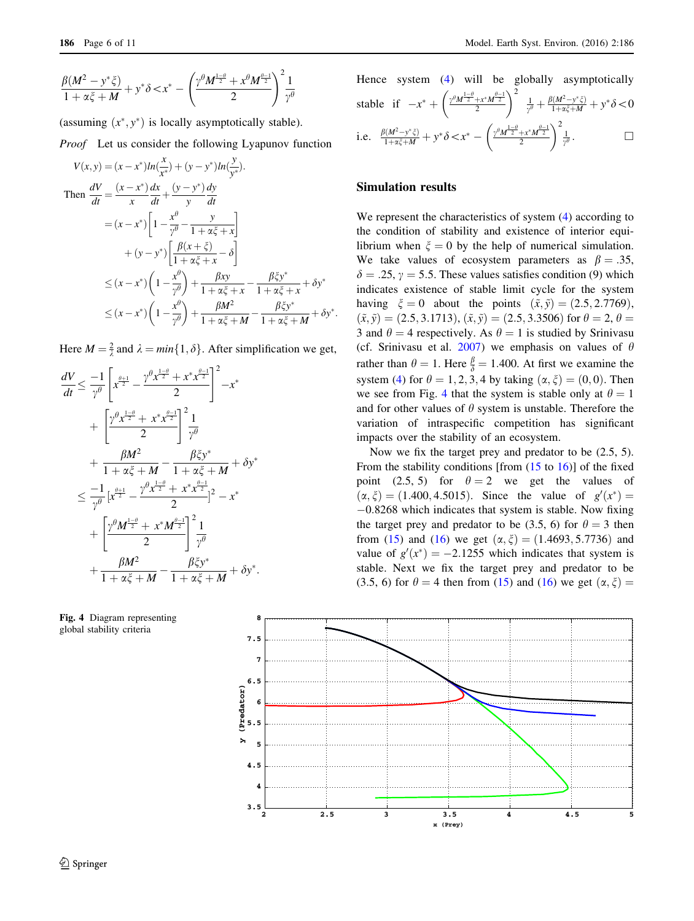<span id="page-5-0"></span>
$$
\frac{\beta(M^2 - y^*\xi)}{1 + \alpha\xi + M} + y^*\delta < x^* - \left(\frac{\gamma^{\theta}M^{\frac{1-\theta}{2}} + x^{\theta}M^{\frac{\theta-1}{2}}}{2}\right)^2 \frac{1}{\gamma^{\theta}}
$$

(assuming  $(x^*, y^*)$  is locally asymptotically stable).

Proof Let us consider the following Lyapunov function

$$
V(x, y) = (x - x^*)ln(\frac{x}{x^*}) + (y - y^*)ln(\frac{y}{y^*}).
$$
  
\nThen 
$$
\frac{dV}{dt} = \frac{(x - x^*)}{x} \frac{dx}{dt} + \frac{(y - y^*)}{y} \frac{dy}{dt}
$$

$$
= (x - x^*) \left[1 - \frac{x^{\theta}}{y^{\theta}} - \frac{y}{1 + \alpha \xi + x}\right]
$$

$$
+ (y - y^*) \left[\frac{\beta(x + \xi)}{1 + \alpha \xi + x} - \delta\right]
$$

$$
\leq (x - x^*) \left(1 - \frac{x^{\theta}}{y^{\theta}}\right) + \frac{\beta xy}{1 + \alpha \xi + x} - \frac{\beta \xi y^*}{1 + \alpha \xi + x} + \delta y^*
$$

$$
\leq (x - x^*) \left(1 - \frac{x^{\theta}}{y^{\theta}}\right) + \frac{\beta M^2}{1 + \alpha \xi + M} - \frac{\beta \xi y^*}{1 + \alpha \xi + M} + \delta y^*.
$$

Here  $M = \frac{2}{\lambda}$  and  $\lambda = min\{1, \delta\}$ . After simplification we get,

$$
\frac{dV}{dt} \leq \frac{-1}{\gamma^{\theta}} \left[ x^{\frac{\theta+1}{2}} - \frac{\gamma^{\theta} x^{\frac{1-\theta}{2}} + x^* x^{\frac{\theta-1}{2}}}{2} \right]^2 - x^*
$$
  
+ 
$$
\left[ \frac{\gamma^{\theta} x^{\frac{1-\theta}{2}} + x^* x^{\frac{\theta-1}{2}}}{2} \right]^2 \frac{1}{\gamma^{\theta}}
$$
  
+ 
$$
\frac{\beta M^2}{1 + \alpha \xi + M} - \frac{\beta \xi y^*}{1 + \alpha \xi + M} + \delta y^*
$$
  

$$
\leq \frac{-1}{\gamma^{\theta}} \left[ x^{\frac{\theta+1}{2}} - \frac{\gamma^{\theta} x^{\frac{1-\theta}{2}} + x^* x^{\frac{\theta-1}{2}}}{2} \right]^2 - x^*
$$
  
+ 
$$
\left[ \frac{\gamma^{\theta} M^{\frac{1-\theta}{2}} + x^* M^{\frac{\theta-1}{2}}}{2} \right]^2 \frac{1}{\gamma^{\theta}}
$$
  
+ 
$$
\frac{\beta M^2}{1 + \alpha \xi + M} - \frac{\beta \xi y^*}{1 + \alpha \xi + M} + \delta y^*.
$$



Hence system (4) will be globally asymptotically  
stable if 
$$
-x^* + \left(\frac{\gamma^0 M^{\frac{1-\theta}{2}} + x^* M^{\frac{\theta-1}{2}}}{2}\right)^2 \frac{1}{\gamma^0} + \frac{\beta(M^2 - y^* \xi)}{1 + \alpha \xi + M} + y^* \delta < 0
$$
  
i.e.  $\frac{\beta(M^2 - y^* \xi)}{1 + \alpha \xi + M} + y^* \delta < x^* - \left(\frac{\gamma^0 M^{\frac{1-\theta}{2}} + x^* M^{\frac{\theta-1}{2}}}{2}\right)^2 \frac{1}{\gamma^0}$ .

#### Simulation results

We represent the characteristics of system  $(4)$  $(4)$  according to the condition of stability and existence of interior equilibrium when  $\xi = 0$  by the help of numerical simulation. We take values of ecosystem parameters as  $\beta = .35$ ,  $\delta = .25$ ,  $\gamma = 5.5$ . These values satisfies condition (9) which indicates existence of stable limit cycle for the system having  $\xi = 0$  about the points  $(\tilde{x}, \tilde{y}) = (2.5, 2.7769)$ ,  $(\tilde{x}, \tilde{y}) = (2.5, 3.1713), (\tilde{x}, \tilde{y}) = (2.5, 3.3506)$  for  $\theta = 2, \theta =$ 3 and  $\theta = 4$  respectively. As  $\theta = 1$  is studied by Srinivasu (cf. Srinivasu et al. [2007\)](#page-10-0) we emphasis on values of  $\theta$ rather than  $\theta = 1$ . Here  $\frac{\beta}{\delta} = 1.400$ . At first we examine the system [\(4](#page-1-0)) for  $\theta = 1, 2, 3, 4$  by taking  $(\alpha, \xi) = (0, 0)$ . Then we see from Fig. 4 that the system is stable only at  $\theta = 1$ and for other values of  $\theta$  system is unstable. Therefore the variation of intraspecific competition has significant impacts over the stability of an ecosystem.

Now we fix the target prey and predator to be (2.5, 5). From the stability conditions [from  $(15 \text{ to } 16)$  $(15 \text{ to } 16)$  $(15 \text{ to } 16)$  $(15 \text{ to } 16)$  $(15 \text{ to } 16)$ ] of the fixed point (2.5, 5) for  $\theta = 2$  we get the values of  $(\alpha, \xi) = (1.400, 4.5015)$ . Since the value of  $g'(x^*) =$  $-0.8268$  which indicates that system is stable. Now fixing the target prey and predator to be (3.5, 6) for  $\theta = 3$  then from [\(15](#page-4-0)) and ([16\)](#page-4-0) we get  $(\alpha, \xi) = (1.4693, 5.7736)$  and value of  $g'(x^*) = -2.1255$  which indicates that system is stable. Next we fix the target prey and predator to be (3.5, 6) for  $\theta = 4$  then from [\(15](#page-4-0)) and ([16\)](#page-4-0) we get  $(\alpha, \xi)$  =

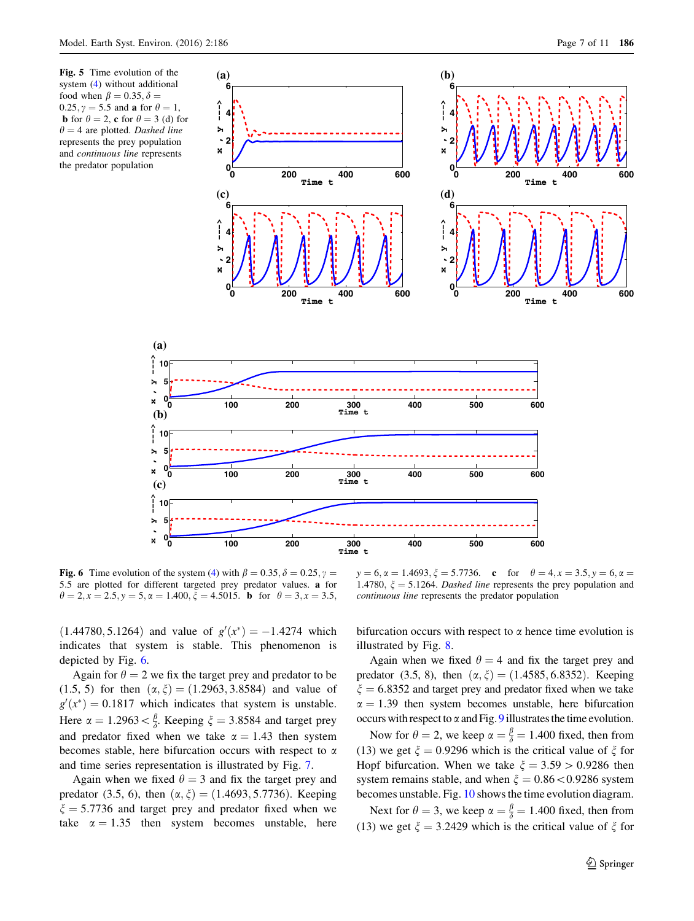

Fig. 6 Time evolution of the system [\(4](#page-1-0)) with  $\beta = 0.35$ ,  $\delta = 0.25$ ,  $\gamma =$ 5:5 are plotted for different targeted prey predator values. a for  $\theta = 2, x = 2.5, y = 5, \alpha = 1.400, \xi = 4.5015.$  **b** for  $\theta = 3, x = 3.5,$ 

**x , y −−−>**

 $\mathbf{\hat{z}}$  $\boldsymbol{\mathsf{x}}$ 

**x , y −−−>**

×  $\mathbf{x}$ 

**x , y −−−>**

 $\triangleright$  $\ddot{x}$ 

 $(1.44780, 5.1264)$  and value of  $g'(x^*) = -1.4274$  which indicates that system is stable. This phenomenon is

depicted by Fig. 6. Again for  $\theta = 2$  we fix the target prey and predator to be (1.5, 5) for then  $(\alpha, \xi) = (1.2963, 3.8584)$  and value of  $g'(x^*) = 0.1817$  which indicates that system is unstable. Here  $\alpha = 1.2963 < \frac{\beta}{\delta}$ . Keeping  $\xi = 3.8584$  and target prey and predator fixed when we take  $\alpha = 1.43$  then system becomes stable, here bifurcation occurs with respect to  $\alpha$ and time series representation is illustrated by Fig. [7](#page-7-0).

Again when we fixed  $\theta = 3$  and fix the target prey and predator (3.5, 6), then  $(\alpha, \xi) = (1.4693, 5.7736)$ . Keeping  $\xi = 5.7736$  and target prey and predator fixed when we take  $\alpha = 1.35$  then system becomes unstable, here

 $y = 6$ ,  $\alpha = 1.4693$ ,  $\xi = 5.7736$ . c for  $\theta = 4$ ,  $x = 3.5$ ,  $y = 6$ ,  $\alpha =$ 1.4780,  $\xi = 5.1264$ . Dashed line represents the prey population and continuous line represents the predator population

bifurcation occurs with respect to  $\alpha$  hence time evolution is illustrated by Fig. [8](#page-7-0).

Again when we fixed  $\theta = 4$  and fix the target prey and predator (3.5, 8), then  $(\alpha, \xi) = (1.4585, 6.8352)$ . Keeping  $\xi = 6.8352$  and target prey and predator fixed when we take  $\alpha = 1.39$  then system becomes unstable, here bifurcation occurs with respect to  $\alpha$  and Fig. [9](#page-7-0) illustrates the time evolution.

Now for  $\theta = 2$ , we keep  $\alpha = \frac{\beta}{\delta} = 1.400$  fixed, then from (13) we get  $\xi = 0.9296$  which is the critical value of  $\xi$  for Hopf bifurcation. When we take  $\xi = 3.59 > 0.9286$  then system remains stable, and when  $\xi = 0.86 \lt 0.9286$  system becomes unstable. Fig. [10](#page-8-0) shows the time evolution diagram.

Next for  $\theta = 3$ , we keep  $\alpha = \frac{\beta}{\delta} = 1.400$  fixed, then from (13) we get  $\xi = 3.2429$  which is the critical value of  $\xi$  for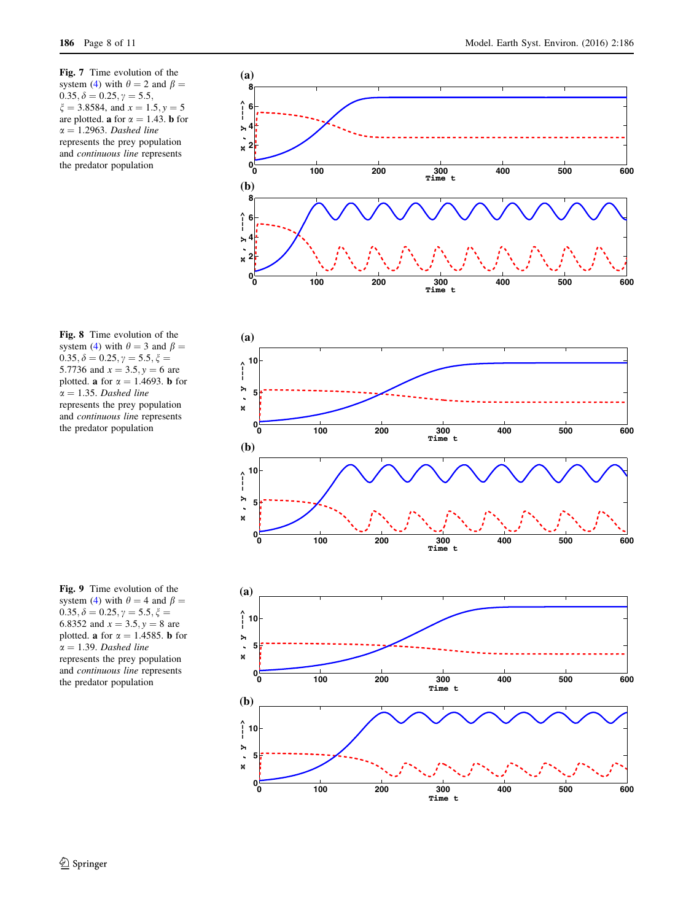<span id="page-7-0"></span>Fig. 7 Time evolution of the system ([4](#page-1-0)) with  $\theta = 2$  and  $\beta =$  $0.35, \delta = 0.25, \gamma = 5.5,$  $\xi = 3.8584$ , and  $x = 1.5$ ,  $y = 5$ are plotted. **a** for  $\alpha = 1.43$ . **b** for  $\alpha = 1.2963$ . Dashed line represents the prey population and continuous line represents the predator population

Fig. 8 Time evolution of the system ([4](#page-1-0)) with  $\theta = 3$  and  $\beta =$  $0.35, \delta = 0.25, \gamma = 5.5, \xi =$ 5.7736 and  $x = 3.5, y = 6$  are plotted. **a** for  $\alpha = 1.4693$ . **b** for  $\alpha = 1.35$ . Dashed line represents the prey population and continuous line represents the predator population

Fig. 9 Time evolution of the system ([4](#page-1-0)) with  $\theta = 4$  and  $\beta =$  $0.35, \delta = 0.25, \gamma = 5.5, \xi =$ 6.8352 and  $x = 3.5, y = 8$  are plotted. **a** for  $\alpha = 1.4585$ . **b** for  $\alpha = 1.39$ . Dashed line represents the prey population and continuous line represents the predator population





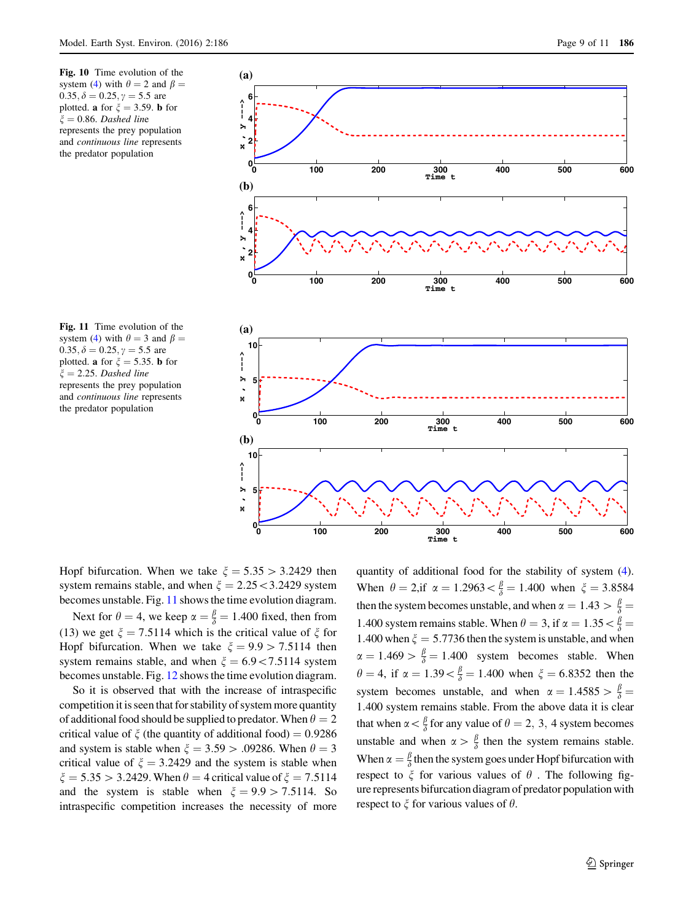<span id="page-8-0"></span>Fig. 10 Time evolution of the system [\(4](#page-1-0)) with  $\theta = 2$  and  $\beta =$  $0.35, \delta = 0.25, \gamma = 5.5$  are plotted. **a** for  $\xi = 3.59$ . **b** for  $\xi = 0.86$ . Dashed line represents the prey population and continuous line represents the predator population

Fig. 11 Time evolution of the system [\(4](#page-1-0)) with  $\theta = 3$  and  $\beta =$ 0.35,  $\delta = 0.25$ ,  $\gamma = 5.5$  are plotted. **a** for  $\xi = 5.35$ . **b** for  $\xi = 2.25$ . Dashed line represents the prey population and continuous line represents the predator population





Hopf bifurcation. When we take  $\xi = 5.35 > 3.2429$  then system remains stable, and when  $\xi = 2.25 \leq 3.2429$  system becomes unstable. Fig. 11 shows the time evolution diagram.

Next for  $\theta = 4$ , we keep  $\alpha = \frac{\beta}{\delta} = 1.400$  fixed, then from (13) we get  $\xi = 7.5114$  which is the critical value of  $\xi$  for Hopf bifurcation. When we take  $\xi = 9.9 > 7.5114$  then system remains stable, and when  $\xi = 6.9 \lt 7.5114$  system becomes unstable. Fig. [12](#page-9-0) shows the time evolution diagram.

So it is observed that with the increase of intraspecific competition it is seen that for stability of system more quantity of additional food should be supplied to predator. When  $\theta = 2$ critical value of  $\zeta$  (the quantity of additional food) = 0.9286 and system is stable when  $\xi = 3.59$  > .09286. When  $\theta = 3$ critical value of  $\xi = 3.2429$  and the system is stable when  $\xi = 5.35 > 3.2429$ . When  $\theta = 4$  critical value of  $\xi = 7.5114$ and the system is stable when  $\xi = 9.9 > 7.5114$ . So intraspecific competition increases the necessity of more

quantity of additional food for the stability of system ([4\)](#page-1-0). When  $\theta = 2$ ,if  $\alpha = 1.2963 < \frac{\beta}{\delta} = 1.400$  when  $\xi = 3.8584$ then the system becomes unstable, and when  $\alpha = 1.43 > \frac{\beta}{\delta}$ 1.400 system remains stable. When  $\theta = 3$ , if  $\alpha = 1.35 < \frac{\beta}{\delta} =$ 1.400 when  $\xi = 5.7736$  then the system is unstable, and when  $\alpha = 1.469 > \frac{\beta}{\delta} = 1.400$  system becomes stable. When  $\theta = 4$ , if  $\alpha = 1.39 < \frac{\beta}{\delta} = 1.400$  when  $\xi = 6.8352$  then the system becomes unstable, and when  $\alpha = 1.4585 > \frac{\beta}{\delta}$ 1:400 system remains stable. From the above data it is clear that when  $\alpha < \frac{\beta}{\delta}$  for any value of  $\theta = 2, 3, 4$  system becomes unstable and when  $\alpha > \frac{\beta}{\delta}$  then the system remains stable. When  $\alpha = \frac{\beta}{\delta}$  then the system goes under Hopf bifurcation with respect to  $\xi$  for various values of  $\theta$ . The following figure represents bifurcation diagram of predator population with respect to  $\xi$  for various values of  $\theta$ .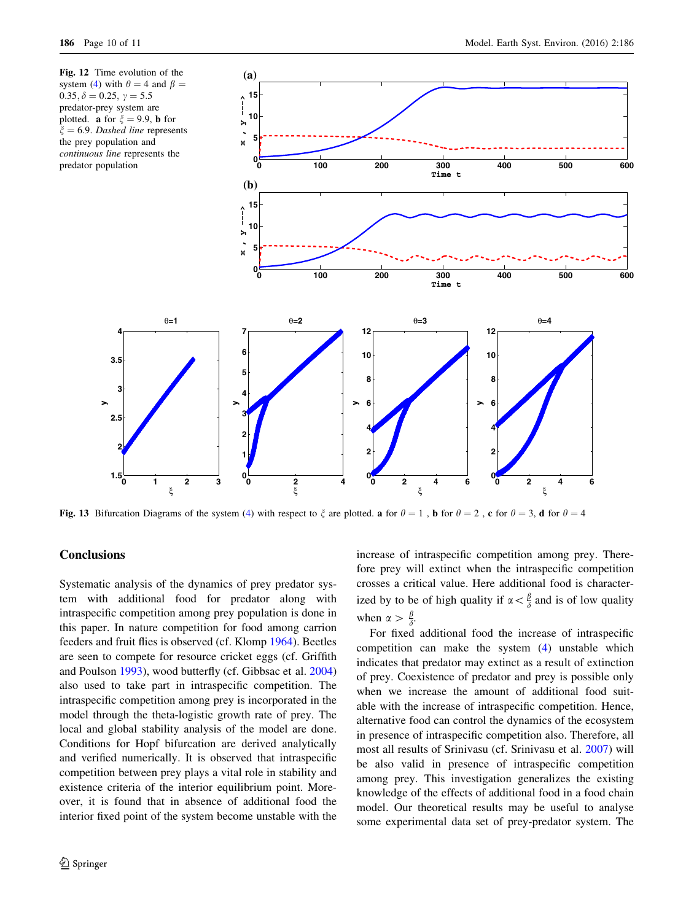<span id="page-9-0"></span>

Fig. 13 Bifurcation Diagrams of the system [\(4](#page-1-0)) with respect to  $\zeta$  are plotted. a for  $\theta = 1$ , b for  $\theta = 2$ , c for  $\theta = 3$ , d for  $\theta = 4$ 

## **Conclusions**

Systematic analysis of the dynamics of prey predator system with additional food for predator along with intraspecific competition among prey population is done in this paper. In nature competition for food among carrion feeders and fruit flies is observed (cf. Klomp [1964](#page-10-0)). Beetles are seen to compete for resource cricket eggs (cf. Griffith and Poulson [1993\)](#page-10-0), wood butterfly (cf. Gibbsac et al. [2004\)](#page-10-0) also used to take part in intraspecific competition. The intraspecific competition among prey is incorporated in the model through the theta-logistic growth rate of prey. The local and global stability analysis of the model are done. Conditions for Hopf bifurcation are derived analytically and verified numerically. It is observed that intraspecific competition between prey plays a vital role in stability and existence criteria of the interior equilibrium point. Moreover, it is found that in absence of additional food the interior fixed point of the system become unstable with the increase of intraspecific competition among prey. Therefore prey will extinct when the intraspecific competition crosses a critical value. Here additional food is characterized by to be of high quality if  $\alpha < \frac{\beta}{\delta}$  and is of low quality when  $\alpha > \frac{\beta}{\delta}$ .

For fixed additional food the increase of intraspecific competition can make the system [\(4](#page-1-0)) unstable which indicates that predator may extinct as a result of extinction of prey. Coexistence of predator and prey is possible only when we increase the amount of additional food suitable with the increase of intraspecific competition. Hence, alternative food can control the dynamics of the ecosystem in presence of intraspecific competition also. Therefore, all most all results of Srinivasu (cf. Srinivasu et al. [2007](#page-10-0)) will be also valid in presence of intraspecific competition among prey. This investigation generalizes the existing knowledge of the effects of additional food in a food chain model. Our theoretical results may be useful to analyse some experimental data set of prey-predator system. The